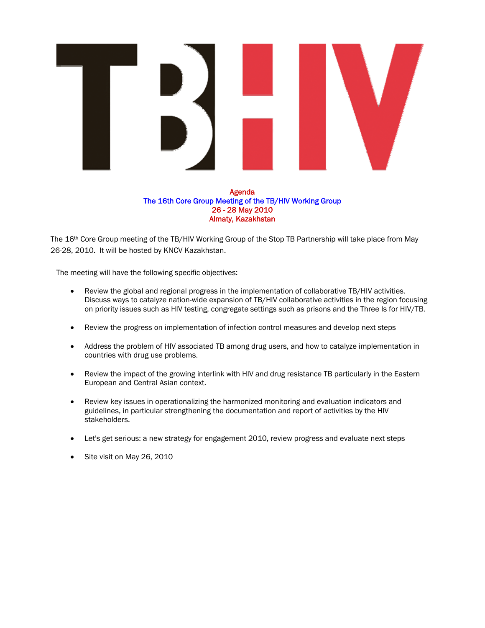

Agenda The 16th Core Group Meeting of the TB/HIV Working Group 26 - 28 May 2010 Almaty, Kazakhstan

The 16th Core Group meeting of the TB/HIV Working Group of the Stop TB Partnership will take place from May 26-28, 2010. It will be hosted by KNCV Kazakhstan.

The meeting will have the following specific objectives:

- Review the global and regional progress in the implementation of collaborative TB/HIV activities. Discuss ways to catalyze nation-wide expansion of TB/HIV collaborative activities in the region focusing on priority issues such as HIV testing, congregate settings such as prisons and the Three Is for HIV/TB.
- Review the progress on implementation of infection control measures and develop next steps
- Address the problem of HIV associated TB among drug users, and how to catalyze implementation in countries with drug use problems.
- Review the impact of the growing interlink with HIV and drug resistance TB particularly in the Eastern European and Central Asian context.
- Review key issues in operationalizing the harmonized monitoring and evaluation indicators and guidelines, in particular strengthening the documentation and report of activities by the HIV stakeholders.
- Let's get serious: a new strategy for engagement 2010, review progress and evaluate next steps
- Site visit on May 26, 2010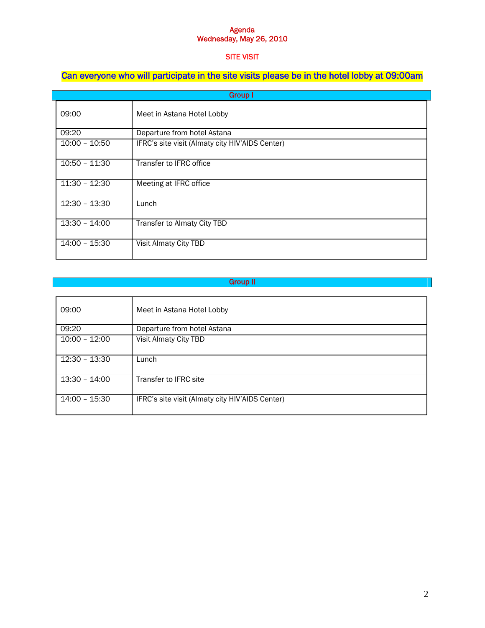### Agenda Wednesday, May 26, 2010

### SITE VISIT

## Can everyone who will participate in the site visits please be in the hotel lobby at 09:00am

| <b>Group I</b>  |                                                 |  |  |
|-----------------|-------------------------------------------------|--|--|
| 09:00           | Meet in Astana Hotel Lobby                      |  |  |
| 09:20           | Departure from hotel Astana                     |  |  |
| $10:00 - 10:50$ | IFRC's site visit (Almaty city HIV'AIDS Center) |  |  |
| $10:50 - 11:30$ | Transfer to IFRC office                         |  |  |
| $11:30 - 12:30$ | Meeting at IFRC office                          |  |  |
| $12:30 - 13:30$ | Lunch                                           |  |  |
| $13:30 - 14:00$ | Transfer to Almaty City TBD                     |  |  |
| 14:00 - 15:30   | Visit Almaty City TBD                           |  |  |

# Group II

| 09:00           | Meet in Astana Hotel Lobby                      |
|-----------------|-------------------------------------------------|
| 09:20           | Departure from hotel Astana                     |
| $10:00 - 12:00$ | Visit Almaty City TBD                           |
| 12:30 - 13:30   | Lunch                                           |
| $13:30 - 14:00$ | Transfer to IFRC site                           |
| 14:00 - 15:30   | IFRC's site visit (Almaty city HIV'AIDS Center) |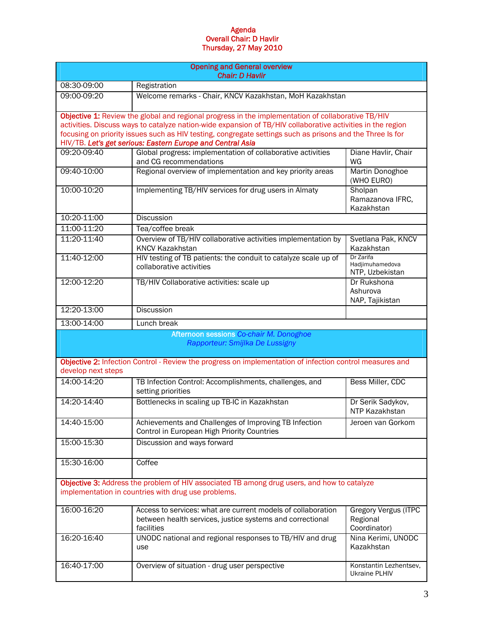### Agenda Overall Chair: D Havlir Thursday, 27 May 2010

| <b>Opening and General overview</b><br><b>Chair: D Havlir</b>                                                                                                                                                                                                                                                                                                                                |                                                                                                                                         |                                                         |  |  |
|----------------------------------------------------------------------------------------------------------------------------------------------------------------------------------------------------------------------------------------------------------------------------------------------------------------------------------------------------------------------------------------------|-----------------------------------------------------------------------------------------------------------------------------------------|---------------------------------------------------------|--|--|
| 08:30-09:00                                                                                                                                                                                                                                                                                                                                                                                  | Registration                                                                                                                            |                                                         |  |  |
| 09:00-09:20                                                                                                                                                                                                                                                                                                                                                                                  | Welcome remarks - Chair, KNCV Kazakhstan, MoH Kazakhstan                                                                                |                                                         |  |  |
| Objective 1: Review the global and regional progress in the implementation of collaborative TB/HIV<br>activities. Discuss ways to catalyze nation-wide expansion of TB/HIV collaborative activities in the region<br>focusing on priority issues such as HIV testing, congregate settings such as prisons and the Three Is for<br>HIV/TB. Let's get serious: Eastern Europe and Central Asia |                                                                                                                                         |                                                         |  |  |
| 09:20-09:40                                                                                                                                                                                                                                                                                                                                                                                  | Global progress: implementation of collaborative activities<br>and CG recommendations                                                   | Diane Havlir, Chair<br>WG                               |  |  |
| 09:40-10:00                                                                                                                                                                                                                                                                                                                                                                                  | Regional overview of implementation and key priority areas                                                                              | Martin Donoghoe<br>(WHO EURO)                           |  |  |
| 10:00-10:20                                                                                                                                                                                                                                                                                                                                                                                  | Implementing TB/HIV services for drug users in Almaty                                                                                   | Sholpan<br>Ramazanova IFRC,<br>Kazakhstan               |  |  |
| 10:20-11:00                                                                                                                                                                                                                                                                                                                                                                                  | <b>Discussion</b>                                                                                                                       |                                                         |  |  |
| 11:00-11:20                                                                                                                                                                                                                                                                                                                                                                                  | Tea/coffee break                                                                                                                        |                                                         |  |  |
| 11:20-11:40                                                                                                                                                                                                                                                                                                                                                                                  | Overview of TB/HIV collaborative activities implementation by<br><b>KNCV Kazakhstan</b>                                                 | Svetlana Pak, KNCV<br>Kazakhstan                        |  |  |
| 11:40-12:00                                                                                                                                                                                                                                                                                                                                                                                  | HIV testing of TB patients: the conduit to catalyze scale up of<br>collaborative activities                                             | Dr Zarifa<br>Hadjimuhamedova<br>NTP, Uzbekistan         |  |  |
| 12:00-12:20                                                                                                                                                                                                                                                                                                                                                                                  | TB/HIV Collaborative activities: scale up                                                                                               | Dr Rukshona<br>Ashurova<br>NAP, Tajikistan              |  |  |
| 12:20-13:00                                                                                                                                                                                                                                                                                                                                                                                  | <b>Discussion</b>                                                                                                                       |                                                         |  |  |
| 13:00-14:00                                                                                                                                                                                                                                                                                                                                                                                  | Lunch break                                                                                                                             |                                                         |  |  |
| Afternoon sessions Co-chair M. Donoghoe<br>Rapporteur: Smijlka De Lussigny                                                                                                                                                                                                                                                                                                                   |                                                                                                                                         |                                                         |  |  |
| develop next steps                                                                                                                                                                                                                                                                                                                                                                           | Objective 2: Infection Control - Review the progress on implementation of infection control measures and                                |                                                         |  |  |
| 14:00-14:20                                                                                                                                                                                                                                                                                                                                                                                  | TB Infection Control: Accomplishments, challenges, and<br>setting priorities                                                            | Bess Miller, CDC                                        |  |  |
| 14:20-14:40                                                                                                                                                                                                                                                                                                                                                                                  | Bottlenecks in scaling up TB-IC in Kazakhstan                                                                                           | Dr Serik Sadykov,<br>NTP Kazakhstan                     |  |  |
| 14:40-15:00                                                                                                                                                                                                                                                                                                                                                                                  | Achievements and Challenges of Improving TB Infection<br>Control in European High Priority Countries                                    | Jeroen van Gorkom                                       |  |  |
| 15:00-15:30                                                                                                                                                                                                                                                                                                                                                                                  | Discussion and ways forward                                                                                                             |                                                         |  |  |
| 15:30-16:00                                                                                                                                                                                                                                                                                                                                                                                  | Coffee                                                                                                                                  |                                                         |  |  |
| Objective 3: Address the problem of HIV associated TB among drug users, and how to catalyze<br>implementation in countries with drug use problems.                                                                                                                                                                                                                                           |                                                                                                                                         |                                                         |  |  |
| 16:00-16:20                                                                                                                                                                                                                                                                                                                                                                                  | Access to services: what are current models of collaboration<br>between health services, justice systems and correctional<br>facilities | <b>Gregory Vergus (ITPC</b><br>Regional<br>Coordinator) |  |  |
| 16:20-16:40                                                                                                                                                                                                                                                                                                                                                                                  | UNODC national and regional responses to TB/HIV and drug<br>use                                                                         | Nina Kerimi, UNODC<br>Kazakhstan                        |  |  |
| 16:40-17:00                                                                                                                                                                                                                                                                                                                                                                                  | Overview of situation - drug user perspective                                                                                           | Konstantin Lezhentsev,<br>Ukraine PLHIV                 |  |  |